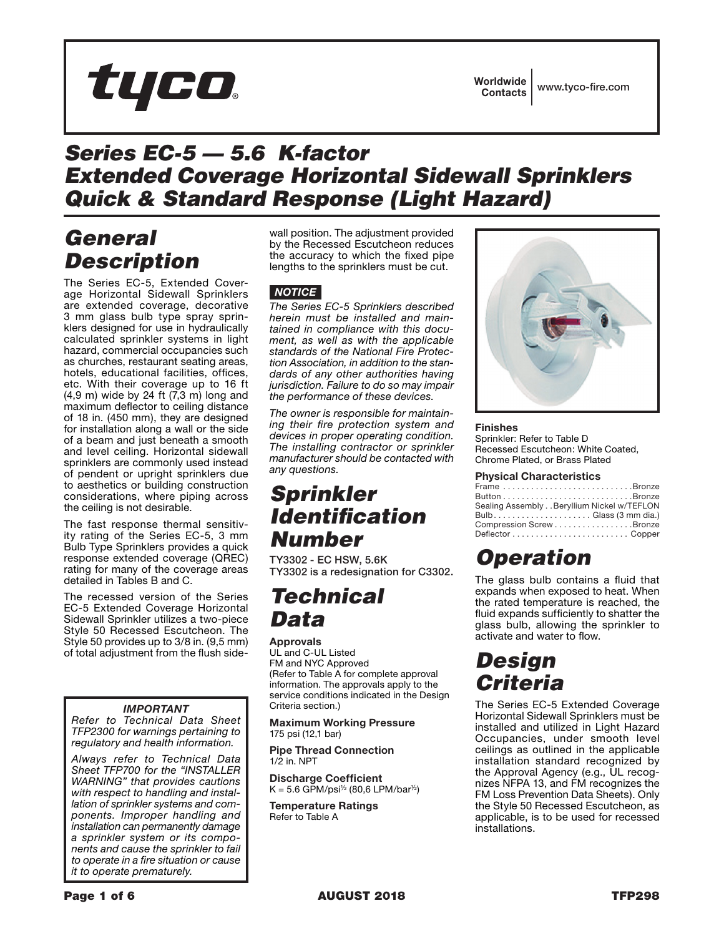# tyco

# *Series EC-5 — 5.6 K-factor Extended Coverage Horizontal Sidewall Sprinklers Quick & Standard Response (Light Hazard)*

# *General Description*

The Series EC-5, Extended Coverage Horizontal Sidewall Sprinklers are extended coverage, decorative 3 mm glass bulb type spray sprinklers designed for use in hydraulically calculated sprinkler systems in light hazard, commercial occupancies such as churches, restaurant seating areas, hotels, educational facilities, offices, etc. With their coverage up to 16 ft (4,9 m) wide by 24 ft (7,3 m) long and maximum deflector to ceiling distance of 18 in. (450 mm), they are designed for installation along a wall or the side of a beam and just beneath a smooth and level ceiling. Horizontal sidewall sprinklers are commonly used instead of pendent or upright sprinklers due to aesthetics or building construction considerations, where piping across the ceiling is not desirable.

The fast response thermal sensitivity rating of the Series EC-5, 3 mm Bulb Type Sprinklers provides a quick response extended coverage (QREC) rating for many of the coverage areas detailed in Tables B and C.

The recessed version of the Series EC-5 Extended Coverage Horizontal Sidewall Sprinkler utilizes a two-piece Style 50 Recessed Escutcheon. The Style 50 provides up to 3/8 in. (9,5 mm) of total adjustment from the flush side-

### *IMPORTANT*

*Refer to Technical Data Sheet TFP2300 for warnings pertaining to regulatory and health information.*

*Always refer to Technical Data Sheet TFP700 for the "INSTALLER WARNING" that provides cautions with respect to handling and installation of sprinkler systems and components. Improper handling and installation can permanently damage a sprinkler system or its components and cause the sprinkler to fail to operate in a fire situation or cause it to operate prematurely.*

wall position. The adjustment provided by the Recessed Escutcheon reduces the accuracy to which the fixed pipe lengths to the sprinklers must be cut.

### *NOTICE*

*The Series EC-5 Sprinklers described herein must be installed and maintained in compliance with this document, as well as with the applicable standards of the National Fire Protection Association, in addition to the standards of any other authorities having jurisdiction. Failure to do so may impair the performance of these devices.*

*The owner is responsible for maintaining their fire protection system and devices in proper operating condition. The installing contractor or sprinkler manufacturer should be contacted with any questions.*

# *Sprinkler Identification Number*

TY3302 - EC HSW, 5.6K TY3302 is a redesignation for C3302.

# *Technical Data*

### Approvals

UL and C-UL Listed FM and NYC Approved (Refer to Table A for complete approval information. The approvals apply to the service conditions indicated in the Design Criteria section.)

Maximum Working Pressure 175 psi (12,1 bar)

Pipe Thread Connection 1/2 in. NPT

Discharge Coefficient  $K = 5.6$  GPM/psi<sup>1/2</sup> (80.6 LPM/bar<sup>1/2</sup>)

Temperature Ratings Refer to Table A



Finishes Sprinkler: Refer to Table D Recessed Escutcheon: White Coated, Chrome Plated, or Brass Plated

### Physical Characteristics

| Frame Bronze                                                              |  |
|---------------------------------------------------------------------------|--|
| Button $\ldots \ldots \ldots \ldots \ldots \ldots \ldots \ldots$ . Bronze |  |
| Sealing Assembly Beryllium Nickel w/TEFLON                                |  |
|                                                                           |  |
| Compression ScrewBronze                                                   |  |
|                                                                           |  |
|                                                                           |  |

# *Operation*

The glass bulb contains a fluid that expands when exposed to heat. When the rated temperature is reached, the fluid expands sufficiently to shatter the glass bulb, allowing the sprinkler to activate and water to flow.

# *Design Criteria*

The Series EC-5 Extended Coverage Horizontal Sidewall Sprinklers must be installed and utilized in Light Hazard Occupancies, under smooth level ceilings as outlined in the applicable installation standard recognized by the Approval Agency (e.g., UL recognizes NFPA 13, and FM recognizes the FM Loss Prevention Data Sheets). Only the Style 50 Recessed Escutcheon, as applicable, is to be used for recessed installations.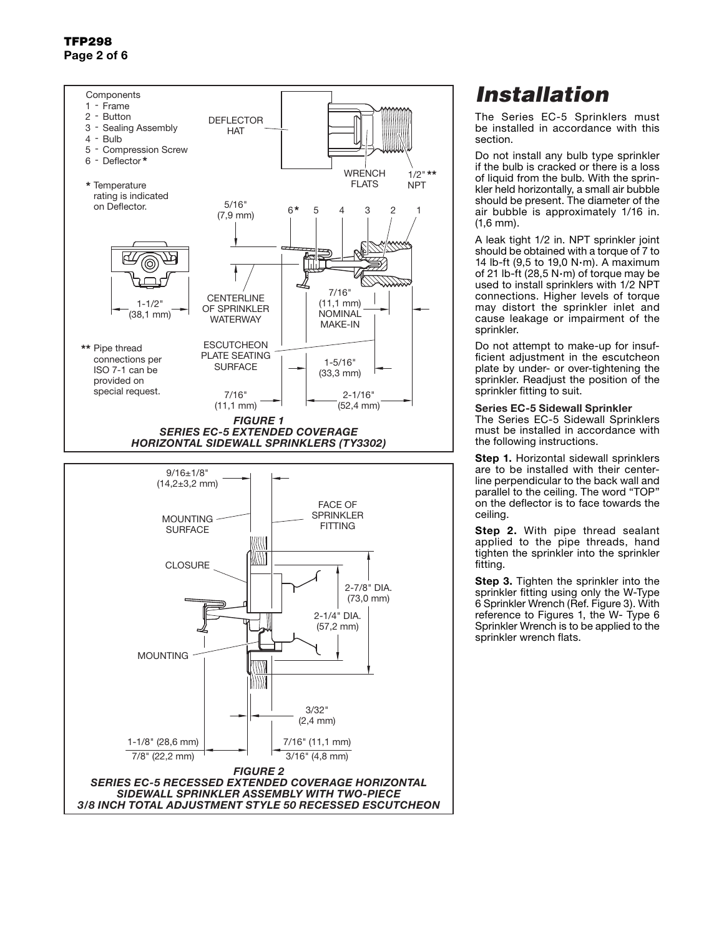### TFP298 Page 2 of 6



# *Installation*

The Series EC-5 Sprinklers must be installed in accordance with this section.

Do not install any bulb type sprinkler if the bulb is cracked or there is a loss of liquid from the bulb. With the sprinkler held horizontally, a small air bubble should be present. The diameter of the air bubble is approximately 1/16 in. (1,6 mm).

A leak tight 1/2 in. NPT sprinkler joint should be obtained with a torque of 7 to 14 lb-ft  $(9.5 \text{ to } 19.0 \text{ N} \cdot \text{m})$ . A maximum of 21 lb-ft (28,5 N·m) of torque may be used to install sprinklers with 1/2 NPT connections. Higher levels of torque may distort the sprinkler inlet and cause leakage or impairment of the sprinkler.

Do not attempt to make-up for insufficient adjustment in the escutcheon plate by under- or over-tightening the sprinkler. Readjust the position of the sprinkler fitting to suit.

### Series EC-5 Sidewall Sprinkler

The Series EC-5 Sidewall Sprinklers must be installed in accordance with the following instructions.

**Step 1.** Horizontal sidewall sprinklers are to be installed with their centerline perpendicular to the back wall and parallel to the ceiling. The word "TOP" on the deflector is to face towards the ceiling.

**Step 2.** With pipe thread sealant applied to the pipe threads, hand tighten the sprinkler into the sprinkler fitting.

**Step 3.** Tighten the sprinkler into the sprinkler fitting using only the W-Type 6 Sprinkler Wrench (Ref. Figure 3). With reference to Figures 1, the W- Type 6 Sprinkler Wrench is to be applied to the sprinkler wrench flats.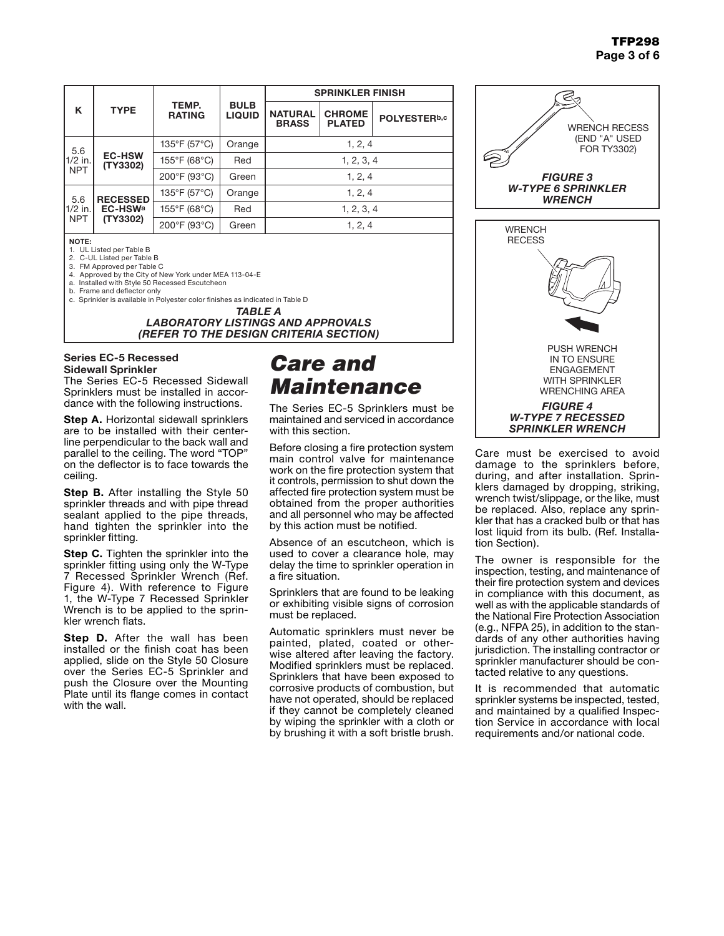| K                              | <b>TYPE</b>                            | TEMP.<br><b>RATING</b> | <b>BULB</b><br><b>LIQUID</b> | <b>SPRINKLER FINISH</b>        |                                |              |
|--------------------------------|----------------------------------------|------------------------|------------------------------|--------------------------------|--------------------------------|--------------|
|                                |                                        |                        |                              | <b>NATURAL</b><br><b>BRASS</b> | <b>CHROME</b><br><b>PLATED</b> | POLYESTERb,c |
| 5.6<br>1/2 in.<br><b>NPT</b>   | <b>EC-HSW</b><br>(TY3302)              | 135°F (57°C)           | Orange                       | 1, 2, 4                        |                                |              |
|                                |                                        | 155°F (68°C)           | Red                          | 1, 2, 3, 4                     |                                |              |
|                                |                                        | 200°F (93°C)           | Green                        | 1, 2, 4                        |                                |              |
| 5.6<br>$1/2$ in.<br><b>NPT</b> | <b>RECESSED</b><br>EC-HSWa<br>(TY3302) | 135°F (57°C)           | Orange                       | 1, 2, 4                        |                                |              |
|                                |                                        | 155°F (68°C)           | Red                          | 1, 2, 3, 4                     |                                |              |
|                                |                                        | 200°F (93°C)           | Green                        | 1, 2, 4                        |                                |              |

#### NOTE:

1. UL Listed per Table B

2. C-UL Listed per Table B

3. FM Approved per Table C

- 4. Approved by the City of New York under MEA 113-04-E a. Installed with Style 50 Recessed Escutcheon
- b. Frame and deflector only

c. Sprinkler is available in Polyester color finishes as indicated in Table D

*TABLE A LABORATORY LISTINGS AND APPROVALS (REFER TO THE DESIGN CRITERIA SECTION)*

### Series EC-5 Recessed Sidewall Sprinkler

The Series EC-5 Recessed Sidewall Sprinklers must be installed in accordance with the following instructions.

**Step A.** Horizontal sidewall sprinklers are to be installed with their centerline perpendicular to the back wall and parallel to the ceiling. The word "TOP" on the deflector is to face towards the ceiling.

**Step B.** After installing the Style 50 sprinkler threads and with pipe thread sealant applied to the pipe threads, hand tighten the sprinkler into the sprinkler fitting.

**Step C.** Tighten the sprinkler into the sprinkler fitting using only the W-Type 7 Recessed Sprinkler Wrench (Ref. Figure 4). With reference to Figure 1, the W-Type 7 Recessed Sprinkler Wrench is to be applied to the sprinkler wrench flats.

**Step D.** After the wall has been installed or the finish coat has been applied, slide on the Style 50 Closure over the Series EC-5 Sprinkler and push the Closure over the Mounting Plate until its flange comes in contact with the wall.

## *Care and Maintenance*

The Series EC-5 Sprinklers must be maintained and serviced in accordance with this section.

Before closing a fire protection system main control valve for maintenance work on the fire protection system that it controls, permission to shut down the affected fire protection system must be obtained from the proper authorities and all personnel who may be affected by this action must be notified.

Absence of an escutcheon, which is used to cover a clearance hole, may delay the time to sprinkler operation in a fire situation.

Sprinklers that are found to be leaking or exhibiting visible signs of corrosion must be replaced.

Automatic sprinklers must never be painted, plated, coated or otherwise altered after leaving the factory. Modified sprinklers must be replaced. Sprinklers that have been exposed to corrosive products of combustion, but have not operated, should be replaced if they cannot be completely cleaned by wiping the sprinkler with a cloth or by brushing it with a soft bristle brush.



Care must be exercised to avoid damage to the sprinklers before, during, and after installation. Sprinklers damaged by dropping, striking, wrench twist/slippage, or the like, must be replaced. Also, replace any sprinkler that has a cracked bulb or that has lost liquid from its bulb. (Ref. Installation Section).

The owner is responsible for the inspection, testing, and maintenance of their fire protection system and devices in compliance with this document, as well as with the applicable standards of the National Fire Protection Association (e.g., NFPA 25), in addition to the standards of any other authorities having jurisdiction. The installing contractor or sprinkler manufacturer should be contacted relative to any questions.

It is recommended that automatic sprinkler systems be inspected, tested, and maintained by a qualified Inspection Service in accordance with local requirements and/or national code.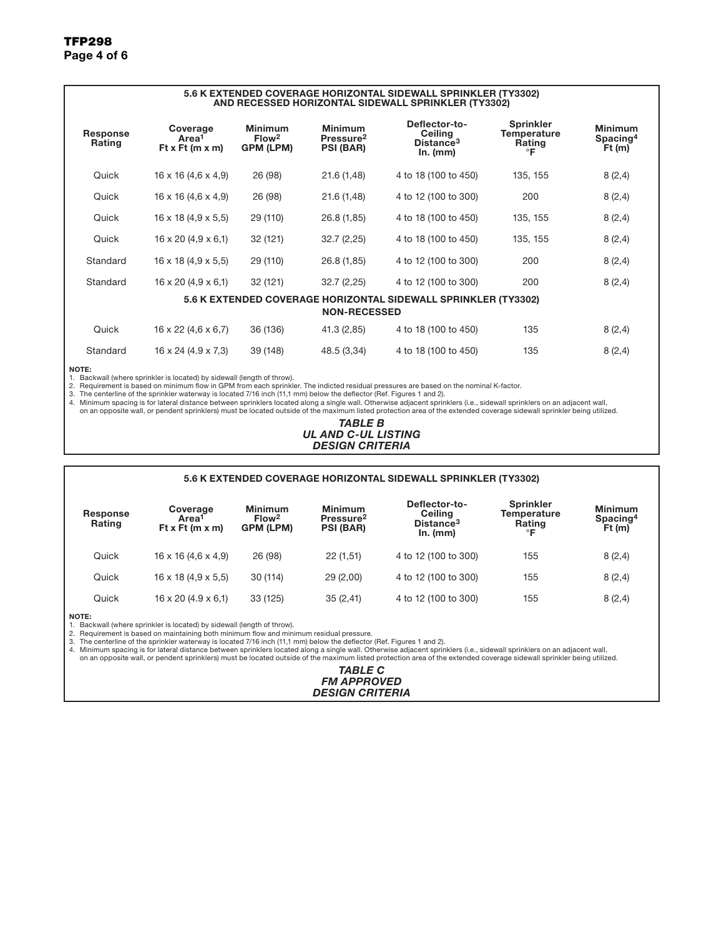#### 5.6 K EXTENDED COVERAGE HORIZONTAL SIDEWALL SPRINKLER (TY3302) AND RECESSED HORIZONTAL SIDEWALL SPRINKLER (TY3302) Response Rating Coverage Area<sup>1</sup> Ft x Ft (m x m) Minimum Flow2 GPM (LPM) Minimum Pressure2 PSI (BAR) Deflector-to-Ceiling Distance3 In. (mm) Sprinkler **Temperature Rating** °F Minimum Spacing<sup>4</sup> Ft (m) Quick 16 x 16 (4,6 x 4,9) 26 (98) 21.6 (1,48) 4 to 18 (100 to 450) 135, 155 8 (2,4) Quick 16 x 16 (4,6 x 4,9) 26 (98) 21.6 (1,48) 4 to 12 (100 to 300) 200 8 (2,4) Quick 16 x 18 (4,9 x 5,5) 29 (110) 26.8 (1,85) 4 to 18 (100 to 450) 135, 155 8 (2,4) Quick 16 x 20 (4,9 x 6,1) 32 (121) 32.7 (2,25) 4 to 18 (100 to 450) 135, 155 8 (2,4) Standard 16 x 18 (4,9 x 5,5) 29 (110) 26.8 (1,85) 4 to 12 (100 to 300) 200 8 (2,4) Standard 16 x 20 (4,9 x 6,1) 32 (121) 32.7 (2,25) 4 to 12 (100 to 300) 200 8 (2,4) 5.6 K EXTENDED COVERAGE HORIZONTAL SIDEWALL SPRINKLER (TY3302) NON-RECESSED Quick 16 x 22 (4,6 x 6,7) 36 (136) 41.3 (2,85) 4 to 18 (100 to 450) 135 8 (2,4) Standard 16 x 24 (4.9 x 7,3) 39 (148) 48.5 (3,34) 4 to 18 (100 to 450) 135 8 (2,4)

#### NOTE:

1. Backwall (where sprinkler is located) by sidewall (length of throw).

2. Requirement is based on minimum flow in GPM from each sprinkler. The indicted residual pressures are based on the nominal K-factor.

3. The centerline of the sprinkler waterway is located 7/16 inch (11,1 mm) below the deflector (Ref. Figures 1 and 2).<br>4. Minimum spacing is for lateral distance between sprinklers located along a single wall. Otherwise

on an opposite wall, or pendent sprinklers) must be located outside of the maximum listed protection area of the extended coverage sidewall sprinkler being utilized.

#### *TABLE B UL AND C-UL LISTING DESIGN CRITERIA*

#### 5.6 K EXTENDED COVERAGE HORIZONTAL SIDEWALL SPRINKLER (TY3302)

| Response<br>Rating | Coverage<br>Area <sup>1</sup><br>Ft x Ft $(m x m)$ | <b>Minimum</b><br>Flow <sup>2</sup><br><b>GPM (LPM)</b> | <b>Minimum</b><br>Pressure <sup>2</sup><br><b>PSI (BAR)</b> | Deflector-to-<br><b>Ceiling</b><br>Distance <sup>3</sup><br>In. (mm) | <b>Sprinkler</b><br>Temperature<br>Rating<br>∘г | <b>Minimum</b><br>Spacing <sup>4</sup><br>Ft(m) |
|--------------------|----------------------------------------------------|---------------------------------------------------------|-------------------------------------------------------------|----------------------------------------------------------------------|-------------------------------------------------|-------------------------------------------------|
| Quick              | $16 \times 16 (4.6 \times 4.9)$                    | 26 (98)                                                 | 22(1,51)                                                    | 4 to 12 (100 to 300)                                                 | 155                                             | 8(2,4)                                          |
| Quick              | $16 \times 18$ (4,9 $\times$ 5,5)                  | 30(114)                                                 | 29(2,00)                                                    | 4 to 12 (100 to 300)                                                 | 155                                             | 8(2,4)                                          |
| Quick              | $16 \times 20$ (4.9 $\times$ 6,1)                  | 33 (125)                                                | 35(2,41)                                                    | 4 to 12 (100 to 300)                                                 | 155                                             | 8(2,4)                                          |

NOTE:

1. Backwall (where sprinkler is located) by sidewall (length of throw).

2. Requirement is based on maintaining both minimum flow and minimum residual pressure.

3. The centerline of the sprinkler waterway is located 7/16 inch (11,1 mm) below the deflector (Ref. Figures 1 and 2).<br>4. Minimum spacing is for lateral distance between sprinklers located along a single wall. Otherwise a

on an opposite wall, or pendent sprinklers) must be located outside of the maximum listed protection area of the extended coverage sidewall sprinkler being utilized.

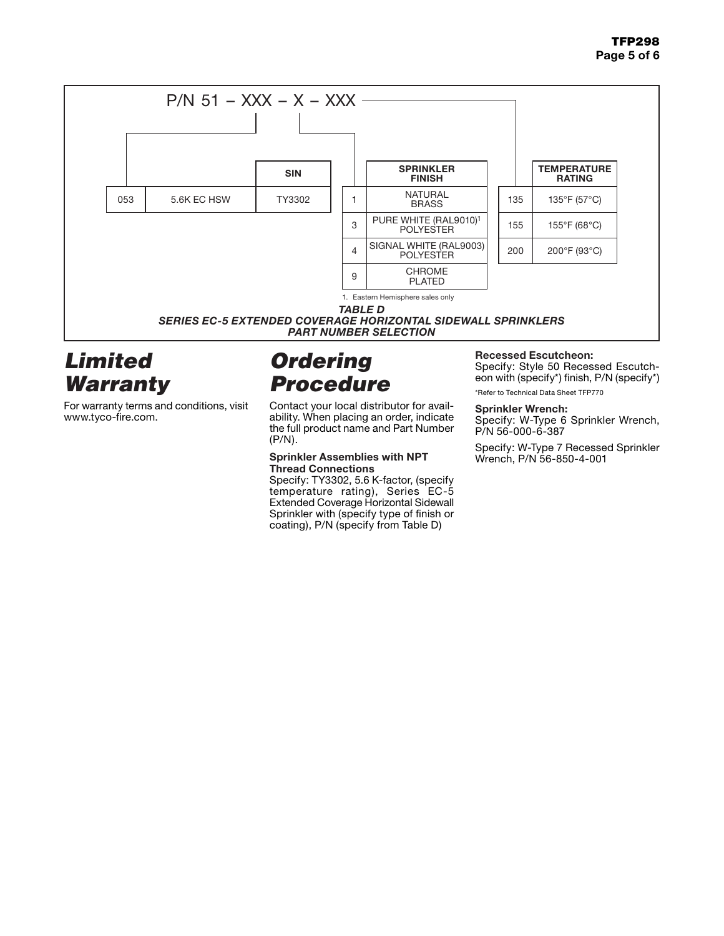

# *Limited Warranty*

For warranty terms and conditions, visit www.tyco-fire.com.

# *Ordering Procedure*

Contact your local distributor for availability. When placing an order, indicate the full product name and Part Number (P/N).

### Sprinkler Assemblies with NPT Thread Connections

Specify: TY3302, 5.6 K-factor, (specify temperature rating), Series EC-5 Extended Coverage Horizontal Sidewall Sprinkler with (specify type of finish or coating), P/N (specify from Table D)

### Recessed Escutcheon:

Specify: Style 50 Recessed Escutcheon with (specify\*) finish, P/N (specify\*) \*Refer to Technical Data Sheet TFP770

### Sprinkler Wrench:

Specify: W-Type 6 Sprinkler Wrench, P/N 56-000-6-387

Specify: W-Type 7 Recessed Sprinkler Wrench, P/N 56-850-4-001